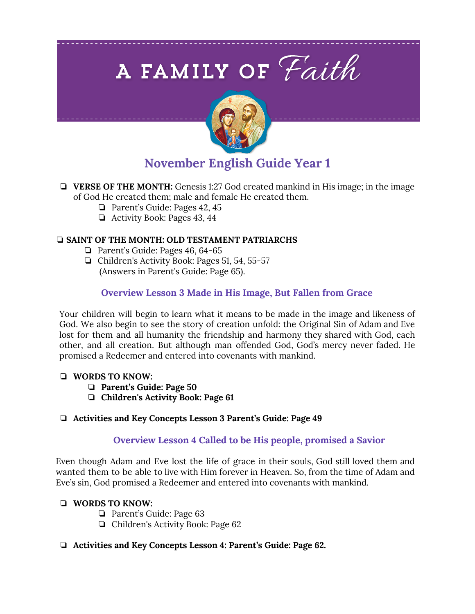# A FAMILY OF Faith



# **November English Guide Year 1**

- ❏ **VERSE OF THE MONTH:** Genesis 1:27 God created mankind in His image; in the image of God He created them; male and female He created them.
	- ❏ Parent's Guide: Pages 42, 45
	- ❏ Activity Book: Pages 43, 44

#### ❏ **SAINT OF THE MONTH: OLD TESTAMENT PATRIARCHS**

- ❏ Parent's Guide: Pages 46, 64-65
- ❏ Children's Activity Book: Pages 51, 54, 55-57 (Answers in Parent's Guide: Page 65).

# **Overview Lesson 3 Made in His Image, But Fallen from Grace**

Your children will begin to learn what it means to be made in the image and likeness of God. We also begin to see the story of creation unfold: the Original Sin of Adam and Eve lost for them and all humanity the friendship and harmony they shared with God, each other, and all creation. But although man offended God, God's mercy never faded. He promised a Redeemer and entered into covenants with mankind.

#### ❏ **WORDS TO KNOW:**

- ❏ **Parent's Guide: Page 50**
- ❏ **Children's Activity Book: Page 61**

#### ❏ **Activities and Key Concepts Lesson 3 Parent's Guide: Page 49**

## **Overview Lesson 4 Called to be His people, promised a Savior**

Even though Adam and Eve lost the life of grace in their souls, God still loved them and wanted them to be able to live with Him forever in Heaven. So, from the time of Adam and Eve's sin, God promised a Redeemer and entered into covenants with mankind.

#### ❏ **WORDS TO KNOW:**

- ❏ Parent's Guide: Page 63
- ❏ Children's Activity Book: Page 62

## ❏ **Activities and Key Concepts Lesson 4: Parent's Guide: Page 62.**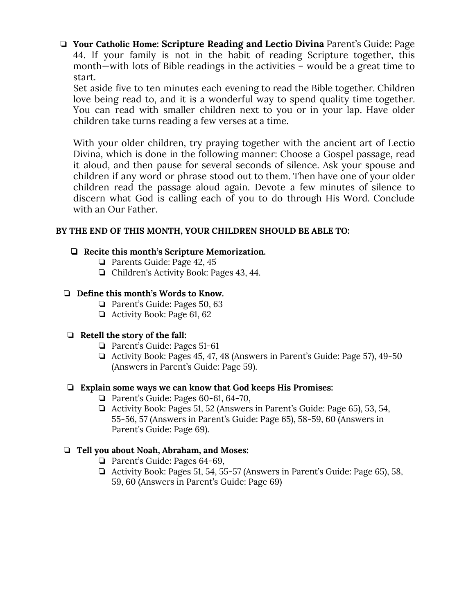❏ **Your Catholic Home: Scripture Reading and Lectio Divina** Parent's Guide**:** Page 44. If your family is not in the habit of reading Scripture together, this month—with lots of Bible readings in the activities – would be a great time to start.

Set aside five to ten minutes each evening to read the Bible together. Children love being read to, and it is a wonderful way to spend quality time together. You can read with smaller children next to you or in your lap. Have older children take turns reading a few verses at a time.

With your older children, try praying together with the ancient art of Lectio Divina, which is done in the following manner: Choose a Gospel passage, read it aloud, and then pause for several seconds of silence. Ask your spouse and children if any word or phrase stood out to them. Then have one of your older children read the passage aloud again. Devote a few minutes of silence to discern what God is calling each of you to do through His Word. Conclude with an Our Father.

#### **BY THE END OF THIS MONTH, YOUR CHILDREN SHOULD BE ABLE TO:**

#### ❏ **Recite this month's Scripture Memorization.**

- ❏ Parents Guide: Page 42, 45
- ❏ Children's Activity Book: Pages 43, 44.

#### ❏ **Define this month's Words to Know.**

- ❏ Parent's Guide: Pages 50, 63
- ❏ Activity Book: Page 61, 62

#### ❏ **Retell the story of the fall:**

- ❏ Parent's Guide: Pages 51-61
- ❏ Activity Book: Pages 45, 47, 48 (Answers in Parent's Guide: Page 57), 49-50 (Answers in Parent's Guide: Page 59).

#### ❏ **Explain some ways we can know that God keeps His Promises:**

- ❏ Parent's Guide: Pages 60-61, 64-70,
- ❏ Activity Book: Pages 51, 52 (Answers in Parent's Guide: Page 65), 53, 54, 55-56, 57 (Answers in Parent's Guide: Page 65), 58-59, 60 (Answers in Parent's Guide: Page 69).

#### ❏ **Tell you about Noah, Abraham, and Moses:**

- ❏ Parent's Guide: Pages 64-69,
- ❏ Activity Book: Pages 51, 54, 55-57 (Answers in Parent's Guide: Page 65), 58, 59, 60 (Answers in Parent's Guide: Page 69)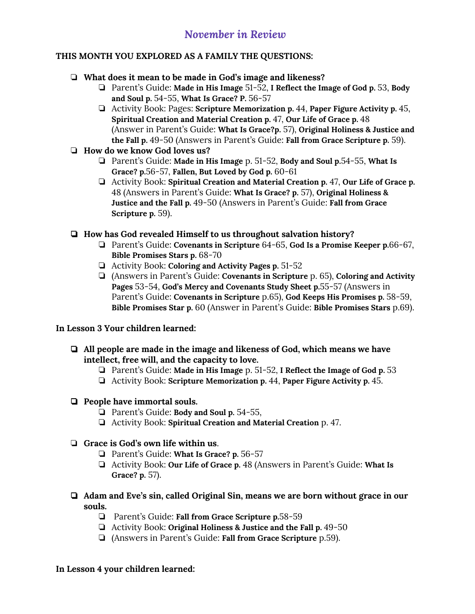# **THIS MONTH YOU EXPLORED AS A FAMILY THE QUESTIONS:**

# ❏ **What does it mean to be made in God's image and likeness?**

- ❏ Parent's Guide: **Made in His Image** 51-52, **I Reflect the Image of God p.** 53, **Body and Soul p.** 54-55, **What Is Grace? P.** 56-57
- ❏ Activity Book: Pages: **Scripture Memorization p.** 44, **Paper Figure Activity p.** 45, **Spiritual Creation and Material Creation p.** 47, **Our Life of Grace p.** 48 (Answer in Parent's Guide: **What Is Grace?p.** 57), **Original Holiness & Justice and the Fall p.** 49-50 (Answers in Parent's Guide: **Fall from Grace Scripture p.** 59).

# ❏ **How do we know God loves us?**

- ❏ Parent's Guide: **Made in His Image** p. 51-52, **Body and Soul p.**54-55, **What Is Grace? p.**56-57, **Fallen, But Loved by God p.** 60-61
- ❏ Activity Book: **Spiritual Creation and Material Creation p.** 47, **Our Life of Grace p.** 48 (Answers in Parent's Guide: **What Is Grace? p.** 57), **Original Holiness & Justice and the Fall p.** 49-50 (Answers in Parent's Guide: **Fall from Grace Scripture p.** 59).

# ❏ **How has God revealed Himself to us throughout salvation history?**

- ❏ Parent's Guide: **Covenants in Scripture** 64-65, **God Is a Promise Keeper p.**66-67, **Bible Promises Stars p.** 68-70
- ❏ Activity Book: **Coloring and Activity Pages p.** 51-52
- ❏ (Answers in Parent's Guide: **Covenants in Scripture** p. 65), **Coloring and Activity Pages** 53-54, **God's Mercy and Covenants Study Sheet p.**55-57 (Answers in Parent's Guide: **Covenants in Scripture** p.65), **God Keeps His Promises p.** 58-59, **Bible Promises Star p.** 60 (Answer in Parent's Guide: **Bible Promises Stars** p.69).

# **In Lesson 3 Your children learned:**

- ❏ **All people are made in the image and likeness of God, which means we have intellect, free will, and the capacity to love.**
	- ❏ Parent's Guide: **Made in His Image** p. 51-52, **I Reflect the Image of God p.** 53
	- ❏ Activity Book: **Scripture Memorization p.** 44, **Paper Figure Activity p.** 45.

# ❏ **People have immortal souls.**

- ❏ Parent's Guide: **Body and Soul p.** 54-55,
- ❏ Activity Book: **Spiritual Creation and Material Creation** p. 47.

# ❏ **Grace is God's own life within us**.

- ❏ Parent's Guide: **What Is Grace? p.** 56-57
- ❏ Activity Book: **Our Life of Grace p.** 48 (Answers in Parent's Guide: **What Is Grace? p.** 57).
- ❏ **Adam and Eve's sin, called Original Sin, means we are born without grace in our souls.**
	- ❏ Parent's Guide: **Fall from Grace Scripture p.**58-59
	- ❏ Activity Book: **Original Holiness & Justice and the Fall p.** 49-50
	- ❏ (Answers in Parent's Guide: **Fall from Grace Scripture** p.59).

## **In Lesson 4 your children learned:**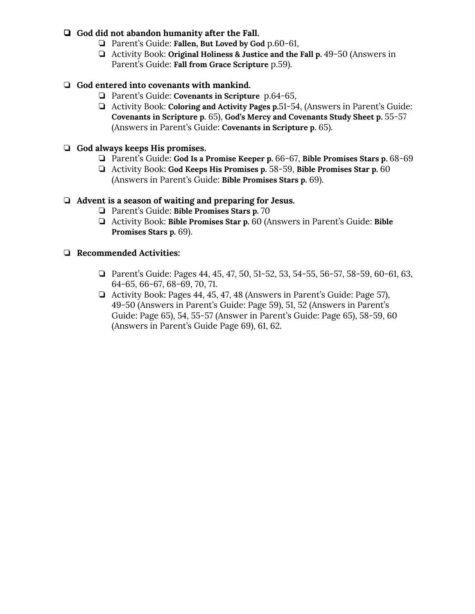## ❏ **God did not abandon humanity after the Fall.**

- ❏ Parent's Guide: **Fallen, But Loved by God** p.60-61,
- ❏ Activity Book: **Original Holiness & Justice and the Fall p.** 49-50 (Answers in Parent's Guide: **Fall from Grace Scripture** p.59).

# ❏ **God entered into covenants with mankind.**

- ❏ Parent's Guide: **Covenants in Scripture** p.64-65,
- ❏ Activity Book: **Coloring and Activity Pages p.**51-54, (Answers in Parent's Guide: **Covenants in Scripture p.** 65), **God's Mercy and Covenants Study Sheet p.** 55-57 (Answers in Parent's Guide: **Covenants in Scripture p.** 65).

## ❏ **God always keeps His promises.**

- ❏ Parent's Guide: **God Is a Promise Keeper p.** 66-67, **Bible Promises Stars p.** 68-69
- ❏ Activity Book: **God Keeps His Promises p.** 58-59, **Bible Promises Star p.** 60 (Answers in Parent's Guide: **Bible Promises Stars p.** 69).

## ❏ **Advent is a season of waiting and preparing for Jesus.**

- ❏ Parent's Guide: **Bible Promises Stars p.** 70
- ❏ Activity Book: **Bible Promises Star p.** 60 (Answers in Parent's Guide: **Bible Promises Stars p.** 69).

#### ❏ **Recommended Activities:**

- ❏ Parent's Guide: Pages 44, 45, 47, 50, 51-52, 53, 54-55, 56-57, 58-59, 60-61, 63, 64-65, 66-67, 68-69, 70, 71.
- ❏ Activity Book: Pages 44, 45, 47, 48 (Answers in Parent's Guide: Page 57), 49-50 (Answers in Parent's Guide: Page 59), 51, 52 (Answers in Parent's Guide: Page 65), 54, 55-57 (Answer in Parent's Guide: Page 65), 58-59, 60 (Answers in Parent's Guide Page 69), 61, 62.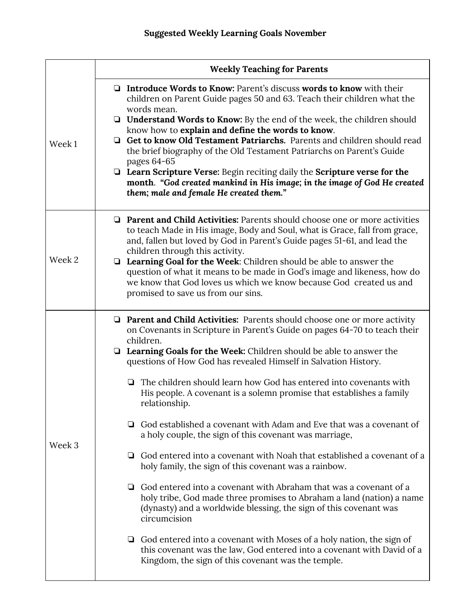|        | <b>Weekly Teaching for Parents</b>                                                                                                                                                                                                                                                                                                                                                                                                                                                                                                                                                                                                                                                                                                                                                                                                                                                                                                                                                                                                                                                                                                                                                                                               |
|--------|----------------------------------------------------------------------------------------------------------------------------------------------------------------------------------------------------------------------------------------------------------------------------------------------------------------------------------------------------------------------------------------------------------------------------------------------------------------------------------------------------------------------------------------------------------------------------------------------------------------------------------------------------------------------------------------------------------------------------------------------------------------------------------------------------------------------------------------------------------------------------------------------------------------------------------------------------------------------------------------------------------------------------------------------------------------------------------------------------------------------------------------------------------------------------------------------------------------------------------|
| Week 1 | $\Box$ Introduce Words to Know: Parent's discuss words to know with their<br>children on Parent Guide pages 50 and 63. Teach their children what the<br>words mean.<br>$\Box$ <b>Understand Words to Know:</b> By the end of the week, the children should<br>know how to explain and define the words to know.<br>Get to know Old Testament Patriarchs. Parents and children should read<br>❏<br>the brief biography of the Old Testament Patriarchs on Parent's Guide<br>pages 64-65<br>$\Box$ Learn Scripture Verse: Begin reciting daily the Scripture verse for the<br>month. "God created mankind in His image; in the image of God He created<br>them; male and female He created them."                                                                                                                                                                                                                                                                                                                                                                                                                                                                                                                                  |
| Week 2 | <b>Q</b> Parent and Child Activities: Parents should choose one or more activities<br>to teach Made in His image, Body and Soul, what is Grace, fall from grace,<br>and, fallen but loved by God in Parent's Guide pages 51-61, and lead the<br>children through this activity.<br>$\Box$ Learning Goal for the Week: Children should be able to answer the<br>question of what it means to be made in God's image and likeness, how do<br>we know that God loves us which we know because God created us and<br>promised to save us from our sins.                                                                                                                                                                                                                                                                                                                                                                                                                                                                                                                                                                                                                                                                              |
| Week 3 | $\Box$ Parent and Child Activities: Parents should choose one or more activity<br>on Covenants in Scripture in Parent's Guide on pages 64-70 to teach their<br>children.<br>$\Box$ Learning Goals for the Week: Children should be able to answer the<br>questions of How God has revealed Himself in Salvation History.<br>The children should learn how God has entered into covenants with<br>❏<br>His people. A covenant is a solemn promise that establishes a family<br>relationship.<br>God established a covenant with Adam and Eve that was a covenant of<br>u<br>a holy couple, the sign of this covenant was marriage,<br>God entered into a covenant with Noah that established a covenant of a<br>u<br>holy family, the sign of this covenant was a rainbow.<br>God entered into a covenant with Abraham that was a covenant of a<br>u<br>holy tribe, God made three promises to Abraham a land (nation) a name<br>(dynasty) and a worldwide blessing, the sign of this covenant was<br>circumcision<br>$\Box$ God entered into a covenant with Moses of a holy nation, the sign of<br>this covenant was the law, God entered into a covenant with David of a<br>Kingdom, the sign of this covenant was the temple. |